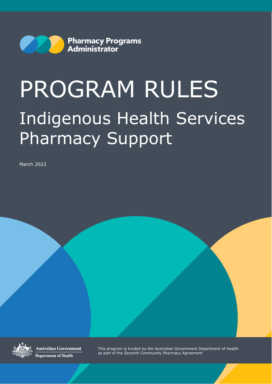

# PROGRAM RULES Indigenous Health Services Pharmacy Support

March 2022



Australian Government **Department of Health** 

This program is funded by the Australian Government Department of Health as part of the Seventh Community Pharmacy Agreement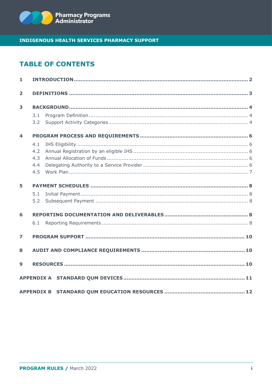

# **TABLE OF CONTENTS**

| 1                       |     |  |  |  |  |
|-------------------------|-----|--|--|--|--|
| $\overline{2}$          |     |  |  |  |  |
| 3                       |     |  |  |  |  |
|                         | 3.1 |  |  |  |  |
|                         | 3.2 |  |  |  |  |
| $\overline{\mathbf{4}}$ |     |  |  |  |  |
|                         | 4.1 |  |  |  |  |
|                         | 4.2 |  |  |  |  |
|                         | 4.3 |  |  |  |  |
|                         | 4.4 |  |  |  |  |
|                         | 4.5 |  |  |  |  |
| 5                       |     |  |  |  |  |
|                         | 5.1 |  |  |  |  |
|                         | 5.2 |  |  |  |  |
| 6                       |     |  |  |  |  |
|                         | 6.1 |  |  |  |  |
| $\overline{z}$          |     |  |  |  |  |
| 8                       |     |  |  |  |  |
| 9                       |     |  |  |  |  |
|                         |     |  |  |  |  |
|                         |     |  |  |  |  |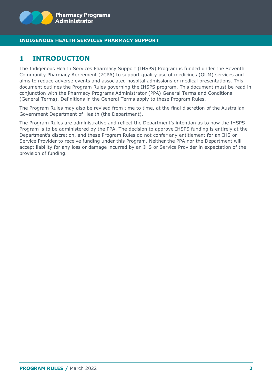

# <span id="page-2-0"></span>**1 INTRODUCTION**

The Indigenous Health Services Pharmacy Support (IHSPS) Program is funded under the Seventh Community Pharmacy Agreement (7CPA) to support quality use of medicines (QUM) services and aims to reduce adverse events and associated hospital admissions or medical presentations. This document outlines the Program Rules governing the IHSPS program. This document must be read in conjunction with the Pharmacy Programs Administrator (PPA) General Terms and Conditions (General Terms). Definitions in the General Terms apply to these Program Rules.

The Program Rules may also be revised from time to time, at the final discretion of the Australian Government Department of Health (the Department).

The Program Rules are administrative and reflect the Department's intention as to how the IHSPS Program is to be administered by the PPA. The decision to approve IHSPS funding is entirely at the Department's discretion, and these Program Rules do not confer any entitlement for an IHS or Service Provider to receive funding under this Program. Neither the PPA nor the Department will accept liability for any loss or damage incurred by an IHS or Service Provider in expectation of the provision of funding.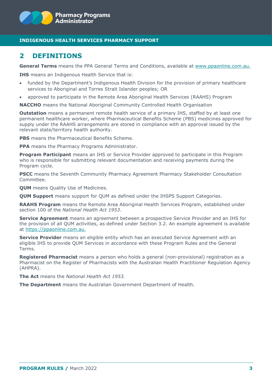

## <span id="page-3-0"></span>**2 DEFINITIONS**

**General Terms** means the PPA General Terms and Conditions, available at [www.ppaonline.com.au.](http://www.ppaonline.com.au/)

**IHS** means an Indigenous Health Service that is:

- funded by the Department's Indigenous Health Division for the provision of primary healthcare services to Aboriginal and Torres Strait Islander peoples; OR
- approved to participate in the Remote Area Aboriginal Health Services (RAAHS) Program

**NACCHO** means the National Aboriginal Community Controlled Health Organisation

**Outstation** means a permanent remote health service of a primary IHS, staffed by at least one permanent healthcare worker, where Pharmaceutical Benefits Scheme (PBS) medicines approved for supply under the RAAHS arrangements are stored in compliance with an approval issued by the relevant state/territory health authority.

**PBS** means the Pharmaceutical Benefits Scheme.

**PPA** means the Pharmacy Programs Administrator.

**Program Participant** means an IHS or Service Provider approved to participate in this Program who is responsible for submitting relevant documentation and receiving payments during the Program cycle.

**PSCC** means the Seventh Community Pharmacy Agreement Pharmacy Stakeholder Consultation Committee.

**QUM** means Quality Use of Medicines.

**QUM Support** means support for QUM as defined under the IHSPS Support Categories.

**RAAHS Program** means the Remote Area Aboriginal Health Services Program, established under section 100 of the *National Health Act 1953*.

**Service Agreement** means an agreement between a prospective Service Provider and an IHS for the provision of all QUM activities, as defined under Section 3.2. An example agreement is available at [https://ppaonline.com.au.](https://ppaonline.com.au/)

**Service Provider** means an eligible entity which has an executed Service Agreement with an eligible IHS to provide QUM Services in accordance with these Program Rules and the General Terms.

**Registered Pharmacist** means a person who holds a general (non-provisional) registration as a Pharmacist on the Register of Pharmacists with the Australian Health Practitioner Regulation Agency (AHPRA).

**The Act** means the *National Health Act 1953.*

**The Department** means the Australian Government Department of Health.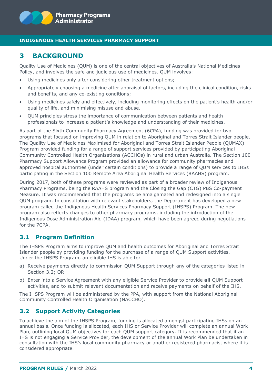# <span id="page-4-0"></span>**3 BACKGROUND**

Quality Use of Medicines (QUM) is one of the central objectives of Australia's National Medicines Policy, and involves the safe and judicious use of medicines. QUM involves:

- Using medicines only after considering other treatment options;
- Appropriately choosing a medicine after appraisal of factors, including the clinical condition, risks and benefits, and any co-existing conditions;
- Using medicines safely and effectively, including monitoring effects on the patient's health and/or quality of life, and minimising misuse and abuse.
- QUM principles stress the importance of communication between patients and health professionals to increase a patient's knowledge and understanding of their medicines.

As part of the Sixth Community Pharmacy Agreement (6CPA), funding was provided for two programs that focused on improving QUM in relation to Aboriginal and Torres Strait Islander people. The Quality Use of Medicines Maximised for Aboriginal and Torres Strait Islander People (QUMAX) Program provided funding for a range of support services provided by participating Aboriginal Community Controlled Health Organisations (ACCHOs) in rural and urban Australia. The Section 100 Pharmacy Support Allowance Program provided an allowance for community pharmacies and approved hospital authorities (under certain conditions) to provide a range of QUM services to IHSs participating in the Section 100 Remote Area Aboriginal Health Services (RAAHS) program.

During 2017, both of these programs were reviewed as part of a broader review of Indigenous Pharmacy Programs, being the RAAHS program and the Closing the Gap (CTG) PBS Co-payment Measure. It was recommended that the programs be amalgamated and redesigned into a single QUM program. In consultation with relevant stakeholders, the Department has developed a new program called the Indigenous Health Services Pharmacy Support (IHSPS) Program. The new program also reflects changes to other pharmacy programs, including the introduction of the Indigenous Dose Administration Aid (IDAA) program, which have been agreed during negotiations for the 7CPA.

## <span id="page-4-1"></span>**3.1 Program Definition**

The IHSPS Program aims to improve QUM and health outcomes for Aboriginal and Torres Strait Islander people by providing funding for the purchase of a range of QUM Support activities. Under the IHSPS Program, an eligible IHS is able to:

- a) Receive payments directly to commission QUM Support through any of the categories listed in Section 3.2; OR
- b) Enter into a Service Agreement with any eligible Service Provider to provide **all** QUM Support activities, and to submit relevant documentation and receive payments on behalf of the IHS.

The IHSPS Program will be administered by the PPA, with support from the National Aboriginal Community Controlled Health Organisation (NACCHO).

## <span id="page-4-2"></span>**3.2 Support Activity Categories**

To achieve the aim of the IHSPS Program, funding is allocated amongst participating IHSs on an annual basis. Once funding is allocated, each IHS or Service Provider will complete an annual Work Plan, outlining local QUM objectives for each QUM support category. It is recommended that if an IHS is not engaging a Service Provider, the development of the annual Work Plan be undertaken in consultation with the IHS's local community pharmacy or another registered pharmacist where it is considered appropriate.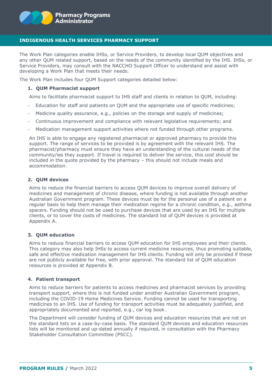

The Work Plan categories enable IHSs, or Service Providers, to develop local QUM objectives and any other QUM related support, based on the needs of the community identified by the IHS. IHSs, or Service Providers, may consult with the NACCHO Support Officer to understand and assist with developing a Work Plan that meets their needs.

The Work Plan includes four QUM Support categories detailed below:

#### **1. QUM Pharmacist support**

Aims to facilitate pharmacist support to IHS staff and clients in relation to QUM, including:

- Education for staff and patients on QUM and the appropriate use of specific medicines;
- Medicine quality assurance, e.g., policies on the storage and supply of medicines;
- Continuous improvement and compliance with relevant legislative requirements; and
- Medication management support activities where not funded through other programs.

An IHS is able to engage any registered pharmacist or approved pharmacy to provide this support. The range of services to be provided is by agreement with the relevant IHS. The pharmacist/pharmacy must ensure they have an understanding of the cultural needs of the community/ies they support. If travel is required to deliver the service, this cost should be included in the quote provided by the pharmacy – this should not include meals and accommodation.

#### **2. QUM devices**

Aims to reduce the financial barriers to access QUM devices to improve overall delivery of medicines and management of chronic disease, where funding is not available through another Australian Government program. These devices must be for the personal use of a patient on a regular basis to help them manage their medication regime for a chronic condition, e.g., asthma spacers. Funding should not be used to purchase devices that are used by an IHS for multiple clients, or to cover the costs of medicines. The standard list of QUM devices is provided at Appendix A.

#### **3. QUM education**

Aims to reduce financial barriers to access QUM education for IHS employees and their clients. This category may also help IHSs to access current medicine resources, thus promoting suitable, safe and effective medication management for IHS clients. Funding will only be provided if these are not publicly available for free, with prior approval. The standard list of QUM education resources is provided at Appendix B.

#### **4. Patient transport**

Aims to reduce barriers for patients to access medicines and pharmacist services by providing transport support, where this is not funded under another Australian Government program, including the COVID-19 Home Medicines Service. Funding cannot be used for transporting medicines to an IHS. Use of funding for transport activities must be adequately justified, and appropriately documented and reported, e.g., car log book.

The Department will consider funding of QUM devices and education resources that are not on the standard lists on a case-by-case basis. The standard QUM devices and education resources lists will be monitored and up-dated annually if required, in consultation with the Pharmacy Stakeholder Consultation Committee (PSCC).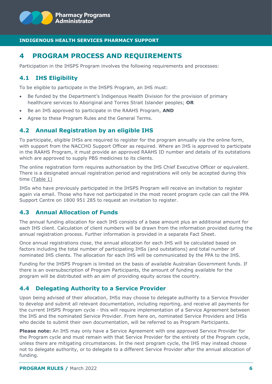

# <span id="page-6-0"></span>**4 PROGRAM PROCESS AND REQUIREMENTS**

Participation in the IHSPS Program involves the following requirements and processes:

## <span id="page-6-1"></span>**4.1 IHS Eligibility**

To be eligible to participate in the IHSPS Program, an IHS must:

- Be funded by the Department's Indigenous Health Division for the provision of primary healthcare services to Aboriginal and Torres Strait Islander peoples; **OR**
- Be an IHS approved to participate in the RAAHS Program, **AND**
- Agree to these Program Rules and the General Terms.

## <span id="page-6-2"></span>**4.2 Annual Registration by an eligible IHS**

To participate, eligible IHSs are required to register for the program annually via the online form, with support from the NACCHO Support Officer as required. Where an IHS is approved to participate in the RAAHS Program, it must provide an approved RAAHS ID number and details of its outstations which are approved to supply PBS medicines to its clients.

The online registration form requires authorisation by the IHS Chief Executive Officer or equivalent. There is a designated annual registration period and registrations will only be accepted during this time (Table 1)

IHSs who have previously participated in the IHSPS Program will receive an invitation to register again via email. Those who have not participated in the most recent program cycle can call the PPA Support Centre on 1800 951 285 to request an invitation to register.

## <span id="page-6-3"></span>**4.3 Annual Allocation of Funds**

The annual funding allocation for each IHS consists of a base amount plus an additional amount for each IHS client. Calculation of client numbers will be drawn from the information provided during the annual registration process. Further information is provided in a separate Fact Sheet.

Once annual registrations close, the annual allocation for each IHS will be calculated based on factors including the total number of participating IHSs (and outstations) and total number of nominated IHS clients. The allocation for each IHS will be communicated by the PPA to the IHS.

Funding for the IHSPS Program is limited on the basis of available Australian Government funds. If there is an oversubscription of Program Participants, the amount of funding available for the program will be distributed with an aim of providing equity across the country.

## <span id="page-6-4"></span>**4.4 Delegating Authority to a Service Provider**

Upon being advised of their allocation, IHSs may choose to delegate authority to a Service Provider to develop and submit all relevant documentation, including reporting, and receive all payments for the current IHSPS Program cycle - this will require implementation of a Service Agreement between the IHS and the nominated Service Provider. From here on, nominated Service Providers and IHSs who decide to submit their own documentation, will be referred to as Program Participants.

**Please note:** An IHS may only have a Service Agreement with one approved Service Provider for the Program cycle and must remain with that Service Provider for the entirety of the Program cycle, unless there are mitigating circumstances. In the next program cycle, the IHS may instead choose not to delegate authority, or to delegate to a different Service Provider after the annual allocation of funding.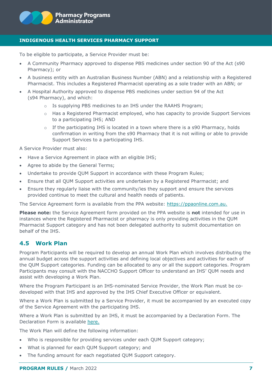

To be eligible to participate, a Service Provider must be:

- A Community Pharmacy approved to dispense PBS medicines under section 90 of the Act (s90 Pharmacy); or
- A business entity with an Australian Business Number (ABN) and a relationship with a Registered Pharmacist. This includes a Registered Pharmacist operating as a sole trader with an ABN; or
- A Hospital Authority approved to dispense PBS medicines under section 94 of the Act (s94 Pharmacy), and which:
	- o Is supplying PBS medicines to an IHS under the RAAHS Program;
	- o Has a Registered Pharmacist employed, who has capacity to provide Support Services to a participating IHS; AND
	- $\circ$  If the participating IHS is located in a town where there is a s90 Pharmacy, holds confirmation in writing from the s90 Pharmacy that it is not willing or able to provide Support Services to a participating IHS.

A Service Provider must also:

- Have a Service Agreement in place with an eligible IHS;
- Agree to abide by the General Terms;
- Undertake to provide QUM Support in accordance with these Program Rules;
- Ensure that all QUM Support activities are undertaken by a Registered Pharmacist; and
- Ensure they regularly liaise with the community/ies they support and ensure the services provided continue to meet the cultural and health needs of patients.

The Service Agreement form is available from the PPA website: [https://ppaonline.com.au.](https://ppaonline.com.au/)

**Please note:** the Service Agreement form provided on the PPA website is **not** intended for use in instances where the Registered Pharmacist or pharmacy is only providing activities in the QUM Pharmacist Support category and has not been delegated authority to submit documentation on behalf of the IHS.

## <span id="page-7-0"></span>**4.5 Work Plan**

Program Participants will be required to develop an annual Work Plan which involves distributing the annual budget across the support activities and defining local objectives and activities for each of the QUM Support categories. Funding can be allocated to any or all the support categories. Program Participants may consult with the NACCHO Support Officer to understand an IHS' QUM needs and assist with developing a Work Plan.

Where the Program Participant is an IHS-nominated Service Provider, the Work Plan must be codeveloped with that IHS and approved by the IHS Chief Executive Officer or equivalent.

Where a Work Plan is submitted by a Service Provider, it must be accompanied by an executed copy of the Service Agreement with the participating IHS.

Where a Work Plan is submitted by an IHS, it must be accompanied by a Declaration Form. The Declaration Form is available [here.](https://www.ppaonline.com.au/programs/aboriginal-and-torres-strait-islander/indigenous-health-services-pharmacy-support-program)

The Work Plan will define the following information:

- Who is responsible for providing services under each QUM Support category;
- What is planned for each QUM Support category; and
- The funding amount for each negotiated QUM Support category.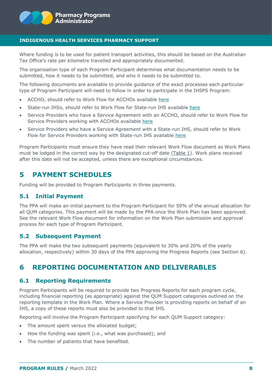

Where funding is to be used for patient transport activities, this should be based on the Australian Tax Office's rate per kilometre travelled and appropriately documented.

The organisation type of each Program Participant determines what documentation needs to be submitted, how it needs to be submitted, and who it needs to be submitted to.

The following documents are available to provide guidance of the exact processes each particular type of Program Participant will need to follow in order to participate in the IHSPS Program:

- ACCHO, should refer to Work Flow for ACCHOs available [here](https://www.ppaonline.com.au/programs/aboriginal-and-torres-strait-islander/indigenous-health-services-pharmacy-support-program)
- State-run IHSs, should refer to Work Flow for State-run IHS available [here](https://www.ppaonline.com.au/programs/aboriginal-and-torres-strait-islander/indigenous-health-services-pharmacy-support-program)
- Service Providers who have a Service Agreement with an ACCHO, should refer to Work Flow for Service Providers working with ACCHOs available [here](https://www.ppaonline.com.au/programs/aboriginal-and-torres-strait-islander/indigenous-health-services-pharmacy-support-program)
- Service Providers who have a Service Agreement with a State-run IHS, should refer to Work Flow for Service Providers working with State-run IHS available [here](https://www.ppaonline.com.au/programs/aboriginal-and-torres-strait-islander/indigenous-health-services-pharmacy-support-program)

Program Participants must ensure they have read their relevant Work Flow document as Work Plans must be lodged in the correct way by the designated cut-off date (Table 1). Work plans received after this date will not be accepted, unless there are exceptional circumstances.

## <span id="page-8-0"></span>**5 PAYMENT SCHEDULES**

<span id="page-8-1"></span>Funding will be provided to Program Participants in three payments.

## **5.1 Initial Payment**

The PPA will make an initial payment to the Program Participant for 50% of the annual allocation for all QUM categories. This payment will be made by the PPA once the Work Plan has been approved. See the relevant Work Flow document for information on the Work Plan submission and approval process for each type of Program Participant.

## <span id="page-8-2"></span>**5.2 Subsequent Payment**

The PPA will make the two subsequent payments (equivalent to 30% and 20% of the yearly allocation, respectively) within 30 days of the PPA approving the Progress Reports (see Section 6).

# <span id="page-8-3"></span>**6 REPORTING DOCUMENTATION AND DELIVERABLES**

## <span id="page-8-4"></span>**6.1 Reporting Requirements**

Program Participants will be required to provide two Progress Reports for each program cycle, including financial reporting (as appropriate) against the QUM Support categories outlined on the reporting template in the Work Plan. Where a Service Provider is providing reports on behalf of an IHS, a copy of these reports must also be provided to that IHS.

Reporting will involve the Program Participant specifying for each QUM Support category:

- The amount spent versus the allocated budget;
- How the funding was spent (i.e., what was purchased); and
- The number of patients that have benefited.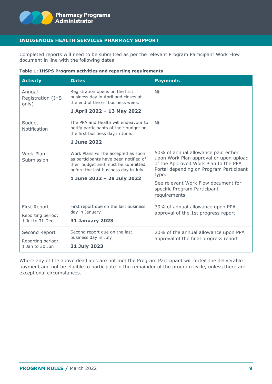

Completed reports will need to be submitted as per the relevant Program Participant Work Flow document in line with the following dates:

|  |  | Table 1: IHSPS Program activities and reporting requirements |  |
|--|--|--------------------------------------------------------------|--|
|--|--|--------------------------------------------------------------|--|

| <b>Activity</b>                                       | <b>Dates</b>                                                                                                                                                                              | <b>Payments</b>                                                                                                                                                                                                                                                   |
|-------------------------------------------------------|-------------------------------------------------------------------------------------------------------------------------------------------------------------------------------------------|-------------------------------------------------------------------------------------------------------------------------------------------------------------------------------------------------------------------------------------------------------------------|
| Annual<br>Registration (IHS<br>only)                  | Registration opens on the first<br>business day in April and closes at<br>the end of the 6 <sup>th</sup> business week.<br>1 April 2022 - 13 May 2022                                     | Nil                                                                                                                                                                                                                                                               |
| <b>Budget</b><br>Notification                         | The PPA and Health will endeavour to<br>notify participants of their budget on<br>the first business day in June.<br>1 June 2022                                                          | Nil                                                                                                                                                                                                                                                               |
| Work Plan<br>Submission                               | Work Plans will be accepted as soon<br>as participants have been notified of<br>their budget and must be submitted<br>before the last business day in July.<br>1 June 2022 - 29 July 2022 | 50% of annual allowance paid either<br>upon Work Plan approval or upon upload<br>of the Approved Work Plan to the PPA<br>Portal depending on Program Participant<br>type.<br>See relevant Work Flow document for<br>specific Program Participant<br>requirements. |
| First Report<br>Reporting period:<br>1 Jul to 31 Dec  | First report due on the last business<br>day in January<br><b>31 January 2023</b>                                                                                                         | 30% of annual allowance upon PPA<br>approval of the 1st progress report                                                                                                                                                                                           |
| Second Report<br>Reporting period:<br>1 Jan to 30 Jun | Second report due on the last<br>business day in July<br>31 July 2023                                                                                                                     | 20% of the annual allowance upon PPA<br>approval of the final progress report                                                                                                                                                                                     |

Where any of the above deadlines are not met the Program Participant will forfeit the deliverable payment and not be eligible to participate in the remainder of the program cycle, unless there are exceptional circumstances.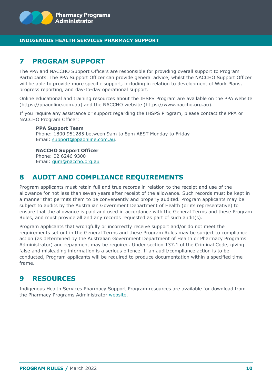

# <span id="page-10-0"></span>**7 PROGRAM SUPPORT**

The PPA and NACCHO Support Officers are responsible for providing overall support to Program Participants. The PPA Support Officer can provide general advice, whilst the NACCHO Support Officer will be able to provide more specific support, including in relation to development of Work Plans, progress reporting, and day-to-day operational support.

Online educational and training resources about the IHSPS Program are available on the PPA website (https://ppaonline.com.au) and the NACCHO website (https://www.naccho.org.au).

If you require any assistance or support regarding the IHSPS Program, please contact the PPA or NACCHO Program Officer:

**PPA Support Team** Phone: 1800 951285 between 9am to 8pm AEST Monday to Friday Email: [support@ppaonline.com.au.](mailto:support@ppaonline.com.au)

**NACCHO Support Officer** Phone: 02 6246 9300 Email: [qum@naccho.org.au](mailto:qum@naccho.org.au)

## <span id="page-10-1"></span>**8 AUDIT AND COMPLIANCE REQUIREMENTS**

Program applicants must retain full and true records in relation to the receipt and use of the allowance for not less than seven years after receipt of the allowance. Such records must be kept in a manner that permits them to be conveniently and properly audited. Program applicants may be subject to audits by the Australian Government Department of Health (or its representative) to ensure that the allowance is paid and used in accordance with the General Terms and these Program Rules, and must provide all and any records requested as part of such audit(s).

Program applicants that wrongfully or incorrectly receive support and/or do not meet the requirements set out in the General Terms and these Program Rules may be subject to compliance action (as determined by the Australian Government Department of Health or Pharmacy Programs Administrator) and repayment may be required. Under section 137.1 of the Criminal Code, giving false and misleading information is a serious offence. If an audit/compliance action is to be conducted, Program applicants will be required to produce documentation within a specified time frame.

# <span id="page-10-2"></span>**9 RESOURCES**

Indigenous Health Services Pharmacy Support Program resources are available for download from the Pharmacy Programs Administrator [website.](https://www.ppaonline.com.au/)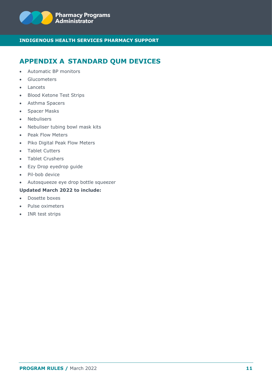

# <span id="page-11-0"></span>**APPENDIX A STANDARD QUM DEVICES**

- Automatic BP monitors
- Glucometers
- Lancets
- Blood Ketone Test Strips
- Asthma Spacers
- Spacer Masks
- Nebulisers
- Nebuliser tubing bowl mask kits
- Peak Flow Meters
- Piko Digital Peak Flow Meters
- Tablet Cutters
- Tablet Crushers
- Ezy Drop eyedrop guide
- Pil-bob device
- Autosqueeze eye drop bottle squeezer

## **Updated March 2022 to include:**

- Dosette boxes
- Pulse oximeters
- INR test strips